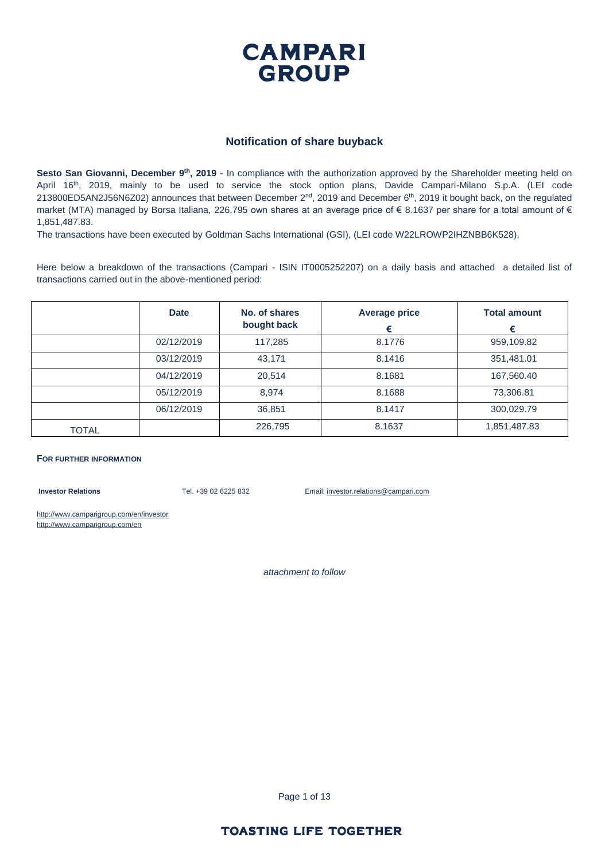

#### **Notification of share buyback**

Sesto San Giovanni, December 9<sup>th</sup>, 2019 - In compliance with the authorization approved by the Shareholder meeting held on April 16<sup>th</sup>, 2019, mainly to be used to service the stock option plans, Davide Campari-Milano S.p.A. (LEI code  $213800ED5AN2J56NGZO2$ ) announces that between December  $2<sup>nd</sup>$ , 2019 and December 6<sup>th</sup>, 2019 it bought back, on the regulated market (MTA) managed by Borsa Italiana, 226,795 own shares at an average price of  $\epsilon$  8.1637 per share for a total amount of  $\epsilon$ 1,851,487.83.

The transactions have been executed by Goldman Sachs International (GSI), (LEI code W22LROWP2IHZNBB6K528).

Here below a breakdown of the transactions (Campari - ISIN IT0005252207) on a daily basis and attached a detailed list of transactions carried out in the above-mentioned period:

|              | <b>Date</b> | No. of shares<br>bought back | <b>Average price</b><br>€ | <b>Total amount</b><br>€ |
|--------------|-------------|------------------------------|---------------------------|--------------------------|
|              | 02/12/2019  | 117,285                      | 8.1776                    | 959,109.82               |
|              | 03/12/2019  | 43,171                       | 8.1416                    | 351,481.01               |
|              | 04/12/2019  | 20,514                       | 8.1681                    | 167,560.40               |
|              | 05/12/2019  | 8,974                        | 8.1688                    | 73,306.81                |
|              | 06/12/2019  | 36,851                       | 8.1417                    | 300,029.79               |
| <b>TOTAL</b> |             | 226,795                      | 8.1637                    | 1,851,487.83             |

#### **FOR FURTHER INFORMATION**

**Investor Relations** Tel. +39 02 6225 832 Email: investor.relations@campari.com

http://www.camparigroup.com/en/investor http://www.camparigroup.com/en

*attachment to follow*

Page 1 of 13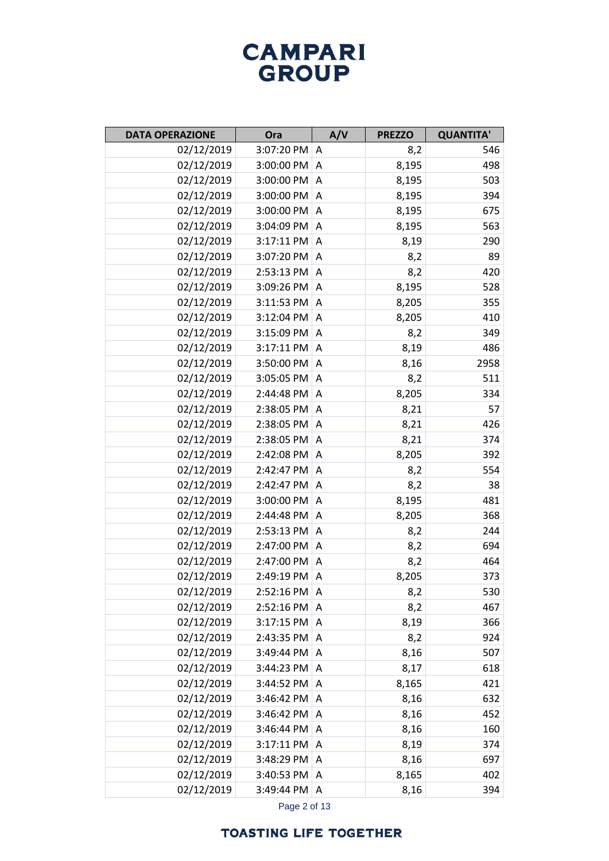| <b>DATA OPERAZIONE</b> | Ora              | A/V            | <b>PREZZO</b> | <b>QUANTITA'</b> |
|------------------------|------------------|----------------|---------------|------------------|
| 02/12/2019             | 3:07:20 PM A     |                | 8,2           | 546              |
| 02/12/2019             | 3:00:00 PM       | A              | 8,195         | 498              |
| 02/12/2019             | 3:00:00 PM A     |                | 8,195         | 503              |
| 02/12/2019             | 3:00:00 PM       | A              | 8,195         | 394              |
| 02/12/2019             | 3:00:00 PM       | Α              | 8,195         | 675              |
| 02/12/2019             | 3:04:09 PM       | A              | 8,195         | 563              |
| 02/12/2019             | 3:17:11 PM       | Α              | 8,19          | 290              |
| 02/12/2019             | 3:07:20 PM       | A              | 8,2           | 89               |
| 02/12/2019             | 2:53:13 PM       | Α              | 8,2           | 420              |
| 02/12/2019             | 3:09:26 PM       | A              | 8,195         | 528              |
| 02/12/2019             | 3:11:53 PM       | Α              | 8,205         | 355              |
| 02/12/2019             | 3:12:04 PM       | Α              | 8,205         | 410              |
| 02/12/2019             | 3:15:09 PM       | Α              | 8,2           | 349              |
| 02/12/2019             | 3:17:11 PM       | Α              | 8,19          | 486              |
| 02/12/2019             | 3:50:00 PM       | Α              | 8,16          | 2958             |
| 02/12/2019             | 3:05:05 PM       | $\overline{A}$ | 8,2           | 511              |
| 02/12/2019             | 2:44:48 PM       | Α              | 8,205         | 334              |
| 02/12/2019             | 2:38:05 PM       | $\overline{A}$ | 8,21          | 57               |
| 02/12/2019             | 2:38:05 PM       | Α              | 8,21          | 426              |
| 02/12/2019             | 2:38:05 PM       | $\overline{A}$ | 8,21          | 374              |
| 02/12/2019             | 2:42:08 PM       | Α              | 8,205         | 392              |
| 02/12/2019             | 2:42:47 PM       | A              | 8,2           | 554              |
| 02/12/2019             | 2:42:47 PM       | A              | 8,2           | 38               |
| 02/12/2019             | 3:00:00 PM       | A              | 8,195         | 481              |
| 02/12/2019             | 2:44:48 PM       | A              | 8,205         | 368              |
| 02/12/2019             | 2:53:13 PM       | Α              | 8,2           | 244              |
| 02/12/2019             | 2:47:00 PM       | Α              | 8,2           | 694              |
| 02/12/2019             | 2:47:00 PM       | A              | 8,2           | 464              |
| 02/12/2019             | 2:49:19 PM       | Α              | 8,205         | 373              |
| 02/12/2019             | $2:52:16$ PM   A |                | 8,2           | 530              |
| 02/12/2019             | 2:52:16 PM       | Α              | 8,2           | 467              |
| 02/12/2019             | 3:17:15 PM       | A              | 8,19          | 366              |
| 02/12/2019             | 2:43:35 PM       | A              | 8,2           | 924              |
| 02/12/2019             | 3:49:44 PM       | A              | 8,16          | 507              |
| 02/12/2019             | 3:44:23 PM       | Α              | 8,17          | 618              |
| 02/12/2019             | 3:44:52 PM       | A              | 8,165         | 421              |
| 02/12/2019             | 3:46:42 PM       | A              | 8,16          | 632              |
| 02/12/2019             | 3:46:42 PM       | A              | 8,16          | 452              |
| 02/12/2019             | 3:46:44 PM       | Α              | 8,16          | 160              |
| 02/12/2019             | 3:17:11 PM       | Α              | 8,19          | 374              |
| 02/12/2019             | 3:48:29 PM       | Α              | 8,16          | 697              |
| 02/12/2019             | 3:40:53 PM       | Α              | 8,165         | 402              |
| 02/12/2019             | 3:49:44 PM       | Α              | 8,16          | 394              |

Page 2 of 13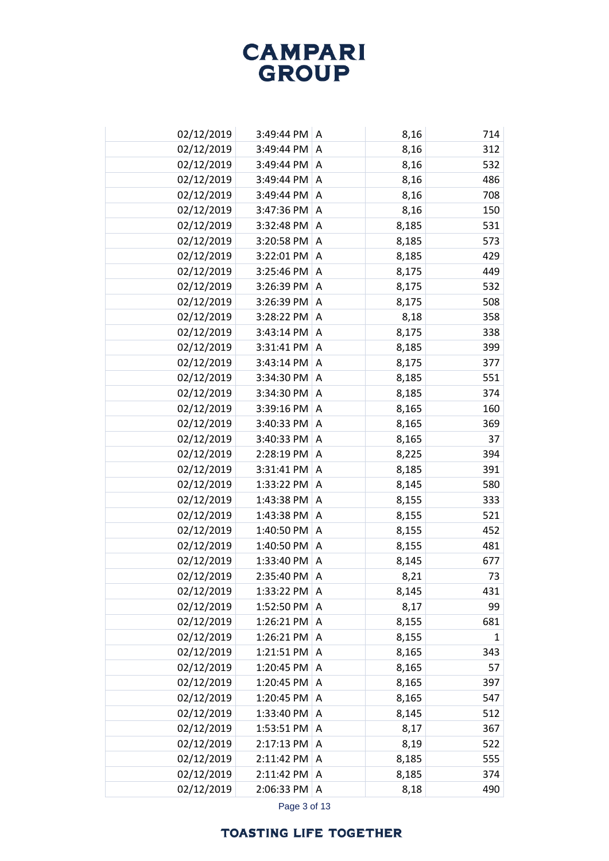| 02/12/2019 | 3:49:44 PM   A        |                | 8,16  | 714 |
|------------|-----------------------|----------------|-------|-----|
| 02/12/2019 | 3:49:44 PM            | $\overline{A}$ | 8,16  | 312 |
| 02/12/2019 | 3:49:44 PM A          |                | 8,16  | 532 |
| 02/12/2019 | 3:49:44 PM A          |                | 8,16  | 486 |
| 02/12/2019 | 3:49:44 PM A          |                | 8,16  | 708 |
| 02/12/2019 | 3:47:36 PM A          |                | 8,16  | 150 |
| 02/12/2019 | 3:32:48 PM A          |                | 8,185 | 531 |
| 02/12/2019 | 3:20:58 PM A          |                | 8,185 | 573 |
| 02/12/2019 | 3:22:01 PM A          |                | 8,185 | 429 |
| 02/12/2019 | 3:25:46 PM            | A              | 8,175 | 449 |
| 02/12/2019 | $3:26:39$ PM $\mid$ A |                | 8,175 | 532 |
| 02/12/2019 | 3:26:39 PM            | A              | 8,175 | 508 |
| 02/12/2019 | 3:28:22 PM A          |                | 8,18  | 358 |
| 02/12/2019 | 3:43:14 PM            | A              | 8,175 | 338 |
| 02/12/2019 | 3:31:41 PM A          |                | 8,185 | 399 |
| 02/12/2019 | 3:43:14 PM            | A              | 8,175 | 377 |
| 02/12/2019 | 3:34:30 PM            | A              | 8,185 | 551 |
| 02/12/2019 | 3:34:30 PM            | A              | 8,185 | 374 |
| 02/12/2019 | 3:39:16 PM            | $\overline{A}$ | 8,165 | 160 |
| 02/12/2019 | 3:40:33 PM            | Α              | 8,165 | 369 |
| 02/12/2019 | 3:40:33 PM            | $\overline{A}$ | 8,165 | 37  |
| 02/12/2019 | 2:28:19 PM            | Α              | 8,225 | 394 |
| 02/12/2019 | 3:31:41 PM            | $\overline{A}$ | 8,185 | 391 |
| 02/12/2019 | 1:33:22 PM            | Α              | 8,145 | 580 |
| 02/12/2019 | 1:43:38 PM            | $\overline{A}$ | 8,155 | 333 |
| 02/12/2019 | 1:43:38 PM            | Α              | 8,155 | 521 |
| 02/12/2019 | 1:40:50 PM            | $\overline{A}$ | 8,155 | 452 |
| 02/12/2019 | 1:40:50 PM            | A              | 8,155 | 481 |
| 02/12/2019 | 1:33:40 PM            | $\Lambda$      | 8,145 | 677 |
| 02/12/2019 | 2:35:40 PM            | A              | 8,21  | 73  |
| 02/12/2019 | 1:33:22 PM A          |                | 8,145 | 431 |
| 02/12/2019 | 1:52:50 PM            | Α              | 8,17  | 99  |
| 02/12/2019 | 1:26:21 PM $ A $      |                | 8,155 | 681 |
| 02/12/2019 | 1:26:21 PM A          |                | 8,155 | 1   |
| 02/12/2019 | 1:21:51 PM $ A $      |                | 8,165 | 343 |
| 02/12/2019 | 1:20:45 PM $ A$       |                | 8,165 | 57  |
| 02/12/2019 | 1:20:45 PM            | $\overline{A}$ | 8,165 | 397 |
| 02/12/2019 | 1:20:45 PM A          |                | 8,165 | 547 |
| 02/12/2019 | 1:33:40 PM A          |                | 8,145 | 512 |
| 02/12/2019 | 1:53:51 PM $ A $      |                | 8,17  | 367 |
| 02/12/2019 | 2:17:13 PM            | A              | 8,19  | 522 |
| 02/12/2019 | 2:11:42 PM A          |                | 8,185 | 555 |
| 02/12/2019 | 2:11:42 PM A          |                | 8,185 | 374 |
| 02/12/2019 | 2:06:33 PM A          |                | 8,18  | 490 |

Page 3 of 13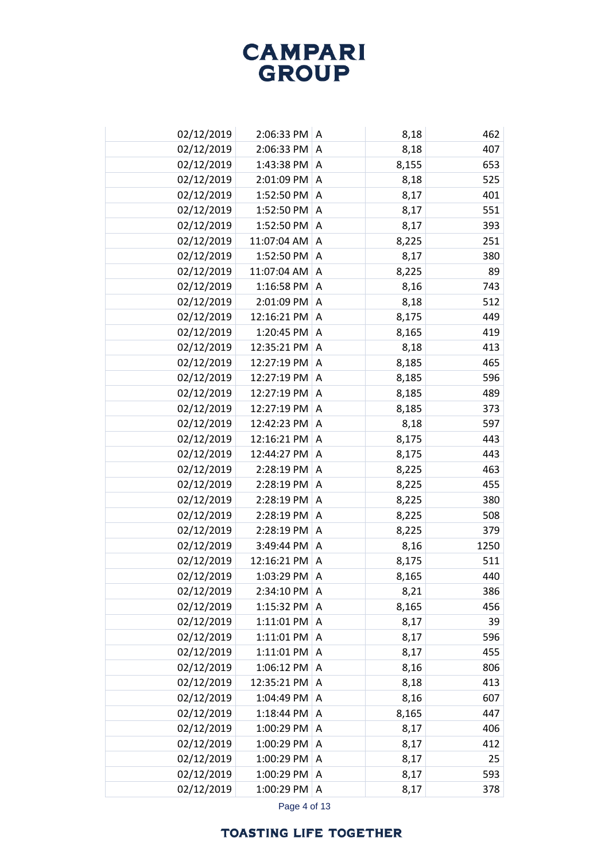| 02/12/2019 | 2:06:33 PM A           |                | 8,18  | 462  |
|------------|------------------------|----------------|-------|------|
| 02/12/2019 | 2:06:33 PM             | A              | 8,18  | 407  |
| 02/12/2019 | 1:43:38 PM A           |                | 8,155 | 653  |
| 02/12/2019 | 2:01:09 PM A           |                | 8,18  | 525  |
| 02/12/2019 | 1:52:50 PM             | A              | 8,17  | 401  |
| 02/12/2019 | 1:52:50 PM             | $\overline{A}$ | 8,17  | 551  |
| 02/12/2019 | 1:52:50 PM             | A              | 8,17  | 393  |
| 02/12/2019 | 11:07:04 AM            | A              | 8,225 | 251  |
| 02/12/2019 | 1:52:50 PM             | A              | 8,17  | 380  |
| 02/12/2019 | 11:07:04 AM            | A              | 8,225 | 89   |
| 02/12/2019 | 1:16:58 PM             | A              | 8,16  | 743  |
| 02/12/2019 | 2:01:09 PM             | Α              | 8,18  | 512  |
| 02/12/2019 | 12:16:21 PM            | A              | 8,175 | 449  |
| 02/12/2019 | 1:20:45 PM             | Α              | 8,165 | 419  |
| 02/12/2019 | 12:35:21 PM            | A              | 8,18  | 413  |
| 02/12/2019 | 12:27:19 PM            | Α              | 8,185 | 465  |
| 02/12/2019 | 12:27:19 PM            | A              | 8,185 | 596  |
| 02/12/2019 | 12:27:19 PM            | Α              | 8,185 | 489  |
| 02/12/2019 | 12:27:19 PM            | $\overline{A}$ | 8,185 | 373  |
| 02/12/2019 | 12:42:23 PM            | Α              | 8,18  | 597  |
| 02/12/2019 | 12:16:21 PM            | $\overline{A}$ | 8,175 | 443  |
| 02/12/2019 | 12:44:27 PM            | Α              | 8,175 | 443  |
| 02/12/2019 | 2:28:19 PM A           |                | 8,225 | 463  |
| 02/12/2019 | 2:28:19 PM             | A              | 8,225 | 455  |
| 02/12/2019 | 2:28:19 PM             | A              | 8,225 | 380  |
| 02/12/2019 | 2:28:19 PM             | Α              | 8,225 | 508  |
| 02/12/2019 | 2:28:19 PM             | A              | 8,225 | 379  |
| 02/12/2019 | 3:49:44 PM             | A              | 8,16  | 1250 |
| 02/12/2019 | 12:16:21 PM            | A              | 8,175 | 511  |
| 02/12/2019 | 1:03:29 PM             | Α              | 8,165 | 440  |
| 02/12/2019 | 2:34:10 PM A           |                | 8,21  | 386  |
| 02/12/2019 | 1:15:32 PM             | A              | 8,165 | 456  |
| 02/12/2019 | 1:11:01 PM             | A              | 8,17  | 39   |
| 02/12/2019 | $1:11:01$ PM           | Α              | 8,17  | 596  |
| 02/12/2019 | $1:11:01$ PM $\vert$ A |                | 8,17  | 455  |
| 02/12/2019 | 1:06:12 PM A           |                | 8,16  | 806  |
| 02/12/2019 | 12:35:21 PM            | A              | 8,18  | 413  |
| 02/12/2019 | 1:04:49 PM A           |                | 8,16  | 607  |
| 02/12/2019 | 1:18:44 PM A           |                | 8,165 | 447  |
| 02/12/2019 | 1:00:29 PM             | A              | 8,17  | 406  |
| 02/12/2019 | 1:00:29 PM             | A              | 8,17  | 412  |
| 02/12/2019 | 1:00:29 PM             | Α              | 8,17  | 25   |
| 02/12/2019 | 1:00:29 PM             | A              | 8,17  | 593  |
| 02/12/2019 | 1:00:29 PM             | Α              | 8,17  | 378  |

Page 4 of 13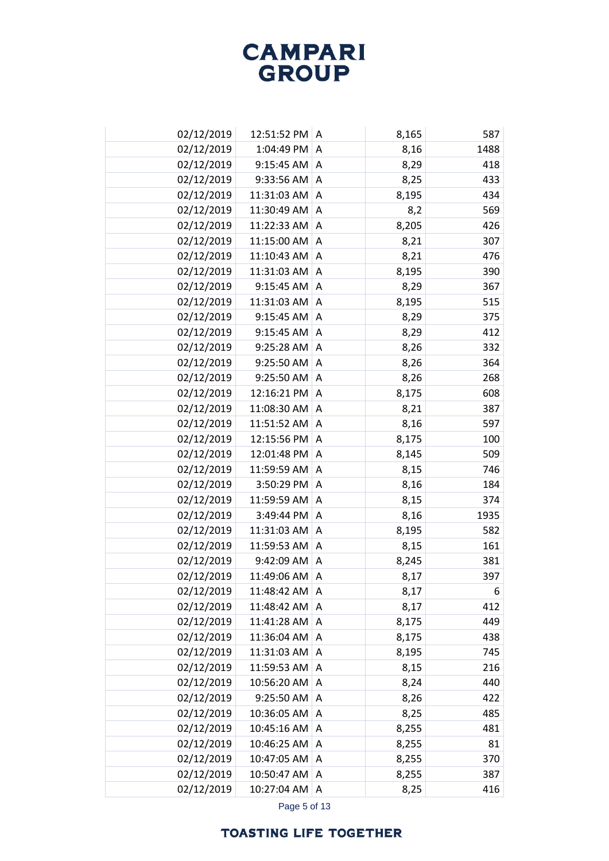| 02/12/2019 | 12:51:52 PM A     |   | 8,165 | 587  |
|------------|-------------------|---|-------|------|
| 02/12/2019 | 1:04:49 PM        | A | 8,16  | 1488 |
| 02/12/2019 | $9:15:45$ AM $ A$ |   | 8,29  | 418  |
| 02/12/2019 | 9:33:56 AM A      |   | 8,25  | 433  |
| 02/12/2019 | 11:31:03 AM       | A | 8,195 | 434  |
| 02/12/2019 | 11:30:49 AM       | Α | 8,2   | 569  |
| 02/12/2019 | 11:22:33 AM       | A | 8,205 | 426  |
| 02/12/2019 | 11:15:00 AM       | Α | 8,21  | 307  |
| 02/12/2019 | 11:10:43 AM       | A | 8,21  | 476  |
| 02/12/2019 | 11:31:03 AM       | Α | 8,195 | 390  |
| 02/12/2019 | 9:15:45 AM        | A | 8,29  | 367  |
| 02/12/2019 | 11:31:03 AM       | Α | 8,195 | 515  |
| 02/12/2019 | 9:15:45 AM        | A | 8,29  | 375  |
| 02/12/2019 | 9:15:45 AM        | Α | 8,29  | 412  |
| 02/12/2019 | 9:25:28 AM        | A | 8,26  | 332  |
| 02/12/2019 | 9:25:50 AM        | Α | 8,26  | 364  |
| 02/12/2019 | 9:25:50 AM        | A | 8,26  | 268  |
| 02/12/2019 | 12:16:21 PM       | A | 8,175 | 608  |
| 02/12/2019 | 11:08:30 AM       | A | 8,21  | 387  |
| 02/12/2019 | 11:51:52 AM       | A | 8,16  | 597  |
| 02/12/2019 | 12:15:56 PM A     |   | 8,175 | 100  |
| 02/12/2019 | 12:01:48 PM       | Α | 8,145 | 509  |
| 02/12/2019 | 11:59:59 AM       | A | 8,15  | 746  |
| 02/12/2019 | 3:50:29 PM        | A | 8,16  | 184  |
| 02/12/2019 | 11:59:59 AM       | A | 8,15  | 374  |
| 02/12/2019 | 3:49:44 PM        | A | 8,16  | 1935 |
| 02/12/2019 | 11:31:03 AM       | A | 8,195 | 582  |
| 02/12/2019 | 11:59:53 AM       | Α | 8,15  | 161  |
| 02/12/2019 | 9:42:09 AM        | A | 8,245 | 381  |
| 02/12/2019 | 11:49:06 AM       | Α | 8,17  | 397  |
| 02/12/2019 | 11:48:42 AM   A   |   | 8,17  | 6    |
| 02/12/2019 | 11:48:42 AM       | A | 8,17  | 412  |
| 02/12/2019 | 11:41:28 AM       | A | 8,175 | 449  |
| 02/12/2019 | 11:36:04 AM       | A | 8,175 | 438  |
| 02/12/2019 | 11:31:03 AM A     |   | 8,195 | 745  |
| 02/12/2019 | 11:59:53 AM       | A | 8,15  | 216  |
| 02/12/2019 | 10:56:20 AM       | A | 8,24  | 440  |
| 02/12/2019 | 9:25:50 AM        | A | 8,26  | 422  |
| 02/12/2019 | 10:36:05 AM       | Α | 8,25  | 485  |
| 02/12/2019 | 10:45:16 AM       | Α | 8,255 | 481  |
| 02/12/2019 | 10:46:25 AM       | Α | 8,255 | 81   |
| 02/12/2019 | 10:47:05 AM       | Α | 8,255 | 370  |
| 02/12/2019 | 10:50:47 AM       | Α | 8,255 | 387  |
| 02/12/2019 | 10:27:04 AM       | Α | 8,25  | 416  |

Page 5 of 13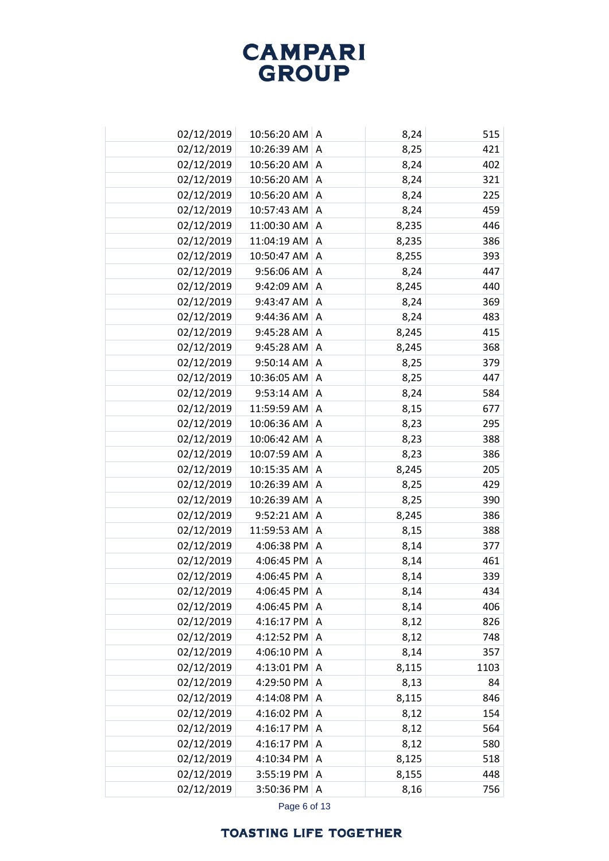| 02/12/2019<br>10:26:39 AM<br>8,25<br>A<br>02/12/2019<br>10:56:20 AM<br>8,24<br>A<br>02/12/2019<br>10:56:20 AM<br>8,24<br>$\overline{A}$<br>02/12/2019<br>10:56:20 AM<br>8,24<br>225<br>Α<br>459<br>02/12/2019<br>10:57:43 AM<br>8,24<br>$\overline{A}$<br>02/12/2019<br>446<br>11:00:30 AM<br>8,235<br>A<br>386<br>02/12/2019<br>11:04:19 AM A<br>8,235<br>02/12/2019<br>10:50:47 AM<br>8,255<br>393<br>A<br>9:56:06 AM<br>02/12/2019<br>8,24<br>A<br>02/12/2019<br>9:42:09 AM<br>8,245<br>440<br>A<br>02/12/2019<br>$9:43:47$ AM<br>369<br>8,24<br>A<br>02/12/2019<br>$9:44:36$ AM<br>483<br>8,24<br>A<br>415<br>02/12/2019<br>9:45:28 AM<br>8,245<br>A<br>02/12/2019<br>8,245<br>9:45:28 AM<br>368<br>A<br>02/12/2019<br>9:50:14 AM<br>379<br>8,25<br>A<br>02/12/2019<br>10:36:05 AM<br>447<br>8,25<br>A<br>584<br>02/12/2019<br>9:53:14 AM<br>8,24<br>Α<br>02/12/2019<br>11:59:59 AM<br>8,15<br>677<br>A<br>10:06:36 AM<br>02/12/2019<br>295<br>8,23<br>Α<br>02/12/2019<br>10:06:42 AM<br>388<br>8,23<br>Α<br>02/12/2019<br>10:07:59 AM<br>386<br>8,23<br>Α<br>02/12/2019<br>10:15:35 AM<br>8,245<br>205<br>A<br>02/12/2019<br>10:26:39 AM<br>429<br>8,25<br>Α<br>02/12/2019<br>10:26:39 AM<br>390<br>A<br>8,25<br>02/12/2019<br>9:52:21 AM<br>386<br>8,245<br>Α<br>02/12/2019<br>11:59:53 AM<br>388<br>A<br>8,15<br>02/12/2019<br>4:06:38 PM<br>8,14<br>377<br>Α<br>02/12/2019<br>4:06:45 PM<br>8,14<br>A<br>02/12/2019<br>4:06:45 PM<br>8,14<br>339<br>Α<br>02/12/2019<br>4:06:45 PM<br>8,14<br>۱A<br>02/12/2019<br>406<br>4:06:45 PM<br>8,14<br>Α<br>02/12/2019<br>826<br>8,12<br>4:16:17 PM<br>A<br>02/12/2019<br>4:12:52 PM<br>8,12<br>748<br>A<br>02/12/2019<br>4:06:10 PM<br>8,14<br>A<br>357<br>02/12/2019<br>8,115<br>4:13:01 PM<br>1103<br>A<br>02/12/2019<br>8,13<br>4:29:50 PM<br>84<br>A<br>02/12/2019<br>4:14:08 PM<br>8,115<br>846<br>Α<br>02/12/2019<br>4:16:02 PM<br>154<br>$\overline{A}$<br>8,12<br>02/12/2019<br>4:16:17 PM<br>A<br>8,12<br>564<br>02/12/2019<br>4:16:17 PM<br>8,12<br>580<br>Α<br>02/12/2019<br>4:10:34 PM<br>8,125<br>518<br>Α<br>02/12/2019<br>3:55:19 PM<br>448<br>8,155<br>A<br>02/12/2019<br>3:50:36 PM A<br>8,16 | 02/12/2019 | 10:56:20 AM   A | 8,24 | 515 |
|----------------------------------------------------------------------------------------------------------------------------------------------------------------------------------------------------------------------------------------------------------------------------------------------------------------------------------------------------------------------------------------------------------------------------------------------------------------------------------------------------------------------------------------------------------------------------------------------------------------------------------------------------------------------------------------------------------------------------------------------------------------------------------------------------------------------------------------------------------------------------------------------------------------------------------------------------------------------------------------------------------------------------------------------------------------------------------------------------------------------------------------------------------------------------------------------------------------------------------------------------------------------------------------------------------------------------------------------------------------------------------------------------------------------------------------------------------------------------------------------------------------------------------------------------------------------------------------------------------------------------------------------------------------------------------------------------------------------------------------------------------------------------------------------------------------------------------------------------------------------------------------------------------------------------------------------------------------------------------------------------------------------------------------------------------------------------------------------------------------------------------------------------------------|------------|-----------------|------|-----|
| 402<br>321<br>447<br>461<br>434<br>756                                                                                                                                                                                                                                                                                                                                                                                                                                                                                                                                                                                                                                                                                                                                                                                                                                                                                                                                                                                                                                                                                                                                                                                                                                                                                                                                                                                                                                                                                                                                                                                                                                                                                                                                                                                                                                                                                                                                                                                                                                                                                                                         |            |                 |      | 421 |
|                                                                                                                                                                                                                                                                                                                                                                                                                                                                                                                                                                                                                                                                                                                                                                                                                                                                                                                                                                                                                                                                                                                                                                                                                                                                                                                                                                                                                                                                                                                                                                                                                                                                                                                                                                                                                                                                                                                                                                                                                                                                                                                                                                |            |                 |      |     |
|                                                                                                                                                                                                                                                                                                                                                                                                                                                                                                                                                                                                                                                                                                                                                                                                                                                                                                                                                                                                                                                                                                                                                                                                                                                                                                                                                                                                                                                                                                                                                                                                                                                                                                                                                                                                                                                                                                                                                                                                                                                                                                                                                                |            |                 |      |     |
|                                                                                                                                                                                                                                                                                                                                                                                                                                                                                                                                                                                                                                                                                                                                                                                                                                                                                                                                                                                                                                                                                                                                                                                                                                                                                                                                                                                                                                                                                                                                                                                                                                                                                                                                                                                                                                                                                                                                                                                                                                                                                                                                                                |            |                 |      |     |
|                                                                                                                                                                                                                                                                                                                                                                                                                                                                                                                                                                                                                                                                                                                                                                                                                                                                                                                                                                                                                                                                                                                                                                                                                                                                                                                                                                                                                                                                                                                                                                                                                                                                                                                                                                                                                                                                                                                                                                                                                                                                                                                                                                |            |                 |      |     |
|                                                                                                                                                                                                                                                                                                                                                                                                                                                                                                                                                                                                                                                                                                                                                                                                                                                                                                                                                                                                                                                                                                                                                                                                                                                                                                                                                                                                                                                                                                                                                                                                                                                                                                                                                                                                                                                                                                                                                                                                                                                                                                                                                                |            |                 |      |     |
|                                                                                                                                                                                                                                                                                                                                                                                                                                                                                                                                                                                                                                                                                                                                                                                                                                                                                                                                                                                                                                                                                                                                                                                                                                                                                                                                                                                                                                                                                                                                                                                                                                                                                                                                                                                                                                                                                                                                                                                                                                                                                                                                                                |            |                 |      |     |
|                                                                                                                                                                                                                                                                                                                                                                                                                                                                                                                                                                                                                                                                                                                                                                                                                                                                                                                                                                                                                                                                                                                                                                                                                                                                                                                                                                                                                                                                                                                                                                                                                                                                                                                                                                                                                                                                                                                                                                                                                                                                                                                                                                |            |                 |      |     |
|                                                                                                                                                                                                                                                                                                                                                                                                                                                                                                                                                                                                                                                                                                                                                                                                                                                                                                                                                                                                                                                                                                                                                                                                                                                                                                                                                                                                                                                                                                                                                                                                                                                                                                                                                                                                                                                                                                                                                                                                                                                                                                                                                                |            |                 |      |     |
|                                                                                                                                                                                                                                                                                                                                                                                                                                                                                                                                                                                                                                                                                                                                                                                                                                                                                                                                                                                                                                                                                                                                                                                                                                                                                                                                                                                                                                                                                                                                                                                                                                                                                                                                                                                                                                                                                                                                                                                                                                                                                                                                                                |            |                 |      |     |
|                                                                                                                                                                                                                                                                                                                                                                                                                                                                                                                                                                                                                                                                                                                                                                                                                                                                                                                                                                                                                                                                                                                                                                                                                                                                                                                                                                                                                                                                                                                                                                                                                                                                                                                                                                                                                                                                                                                                                                                                                                                                                                                                                                |            |                 |      |     |
|                                                                                                                                                                                                                                                                                                                                                                                                                                                                                                                                                                                                                                                                                                                                                                                                                                                                                                                                                                                                                                                                                                                                                                                                                                                                                                                                                                                                                                                                                                                                                                                                                                                                                                                                                                                                                                                                                                                                                                                                                                                                                                                                                                |            |                 |      |     |
|                                                                                                                                                                                                                                                                                                                                                                                                                                                                                                                                                                                                                                                                                                                                                                                                                                                                                                                                                                                                                                                                                                                                                                                                                                                                                                                                                                                                                                                                                                                                                                                                                                                                                                                                                                                                                                                                                                                                                                                                                                                                                                                                                                |            |                 |      |     |
|                                                                                                                                                                                                                                                                                                                                                                                                                                                                                                                                                                                                                                                                                                                                                                                                                                                                                                                                                                                                                                                                                                                                                                                                                                                                                                                                                                                                                                                                                                                                                                                                                                                                                                                                                                                                                                                                                                                                                                                                                                                                                                                                                                |            |                 |      |     |
|                                                                                                                                                                                                                                                                                                                                                                                                                                                                                                                                                                                                                                                                                                                                                                                                                                                                                                                                                                                                                                                                                                                                                                                                                                                                                                                                                                                                                                                                                                                                                                                                                                                                                                                                                                                                                                                                                                                                                                                                                                                                                                                                                                |            |                 |      |     |
|                                                                                                                                                                                                                                                                                                                                                                                                                                                                                                                                                                                                                                                                                                                                                                                                                                                                                                                                                                                                                                                                                                                                                                                                                                                                                                                                                                                                                                                                                                                                                                                                                                                                                                                                                                                                                                                                                                                                                                                                                                                                                                                                                                |            |                 |      |     |
|                                                                                                                                                                                                                                                                                                                                                                                                                                                                                                                                                                                                                                                                                                                                                                                                                                                                                                                                                                                                                                                                                                                                                                                                                                                                                                                                                                                                                                                                                                                                                                                                                                                                                                                                                                                                                                                                                                                                                                                                                                                                                                                                                                |            |                 |      |     |
|                                                                                                                                                                                                                                                                                                                                                                                                                                                                                                                                                                                                                                                                                                                                                                                                                                                                                                                                                                                                                                                                                                                                                                                                                                                                                                                                                                                                                                                                                                                                                                                                                                                                                                                                                                                                                                                                                                                                                                                                                                                                                                                                                                |            |                 |      |     |
|                                                                                                                                                                                                                                                                                                                                                                                                                                                                                                                                                                                                                                                                                                                                                                                                                                                                                                                                                                                                                                                                                                                                                                                                                                                                                                                                                                                                                                                                                                                                                                                                                                                                                                                                                                                                                                                                                                                                                                                                                                                                                                                                                                |            |                 |      |     |
|                                                                                                                                                                                                                                                                                                                                                                                                                                                                                                                                                                                                                                                                                                                                                                                                                                                                                                                                                                                                                                                                                                                                                                                                                                                                                                                                                                                                                                                                                                                                                                                                                                                                                                                                                                                                                                                                                                                                                                                                                                                                                                                                                                |            |                 |      |     |
|                                                                                                                                                                                                                                                                                                                                                                                                                                                                                                                                                                                                                                                                                                                                                                                                                                                                                                                                                                                                                                                                                                                                                                                                                                                                                                                                                                                                                                                                                                                                                                                                                                                                                                                                                                                                                                                                                                                                                                                                                                                                                                                                                                |            |                 |      |     |
|                                                                                                                                                                                                                                                                                                                                                                                                                                                                                                                                                                                                                                                                                                                                                                                                                                                                                                                                                                                                                                                                                                                                                                                                                                                                                                                                                                                                                                                                                                                                                                                                                                                                                                                                                                                                                                                                                                                                                                                                                                                                                                                                                                |            |                 |      |     |
|                                                                                                                                                                                                                                                                                                                                                                                                                                                                                                                                                                                                                                                                                                                                                                                                                                                                                                                                                                                                                                                                                                                                                                                                                                                                                                                                                                                                                                                                                                                                                                                                                                                                                                                                                                                                                                                                                                                                                                                                                                                                                                                                                                |            |                 |      |     |
|                                                                                                                                                                                                                                                                                                                                                                                                                                                                                                                                                                                                                                                                                                                                                                                                                                                                                                                                                                                                                                                                                                                                                                                                                                                                                                                                                                                                                                                                                                                                                                                                                                                                                                                                                                                                                                                                                                                                                                                                                                                                                                                                                                |            |                 |      |     |
|                                                                                                                                                                                                                                                                                                                                                                                                                                                                                                                                                                                                                                                                                                                                                                                                                                                                                                                                                                                                                                                                                                                                                                                                                                                                                                                                                                                                                                                                                                                                                                                                                                                                                                                                                                                                                                                                                                                                                                                                                                                                                                                                                                |            |                 |      |     |
|                                                                                                                                                                                                                                                                                                                                                                                                                                                                                                                                                                                                                                                                                                                                                                                                                                                                                                                                                                                                                                                                                                                                                                                                                                                                                                                                                                                                                                                                                                                                                                                                                                                                                                                                                                                                                                                                                                                                                                                                                                                                                                                                                                |            |                 |      |     |
|                                                                                                                                                                                                                                                                                                                                                                                                                                                                                                                                                                                                                                                                                                                                                                                                                                                                                                                                                                                                                                                                                                                                                                                                                                                                                                                                                                                                                                                                                                                                                                                                                                                                                                                                                                                                                                                                                                                                                                                                                                                                                                                                                                |            |                 |      |     |
|                                                                                                                                                                                                                                                                                                                                                                                                                                                                                                                                                                                                                                                                                                                                                                                                                                                                                                                                                                                                                                                                                                                                                                                                                                                                                                                                                                                                                                                                                                                                                                                                                                                                                                                                                                                                                                                                                                                                                                                                                                                                                                                                                                |            |                 |      |     |
|                                                                                                                                                                                                                                                                                                                                                                                                                                                                                                                                                                                                                                                                                                                                                                                                                                                                                                                                                                                                                                                                                                                                                                                                                                                                                                                                                                                                                                                                                                                                                                                                                                                                                                                                                                                                                                                                                                                                                                                                                                                                                                                                                                |            |                 |      |     |
|                                                                                                                                                                                                                                                                                                                                                                                                                                                                                                                                                                                                                                                                                                                                                                                                                                                                                                                                                                                                                                                                                                                                                                                                                                                                                                                                                                                                                                                                                                                                                                                                                                                                                                                                                                                                                                                                                                                                                                                                                                                                                                                                                                |            |                 |      |     |
|                                                                                                                                                                                                                                                                                                                                                                                                                                                                                                                                                                                                                                                                                                                                                                                                                                                                                                                                                                                                                                                                                                                                                                                                                                                                                                                                                                                                                                                                                                                                                                                                                                                                                                                                                                                                                                                                                                                                                                                                                                                                                                                                                                |            |                 |      |     |
|                                                                                                                                                                                                                                                                                                                                                                                                                                                                                                                                                                                                                                                                                                                                                                                                                                                                                                                                                                                                                                                                                                                                                                                                                                                                                                                                                                                                                                                                                                                                                                                                                                                                                                                                                                                                                                                                                                                                                                                                                                                                                                                                                                |            |                 |      |     |
|                                                                                                                                                                                                                                                                                                                                                                                                                                                                                                                                                                                                                                                                                                                                                                                                                                                                                                                                                                                                                                                                                                                                                                                                                                                                                                                                                                                                                                                                                                                                                                                                                                                                                                                                                                                                                                                                                                                                                                                                                                                                                                                                                                |            |                 |      |     |
|                                                                                                                                                                                                                                                                                                                                                                                                                                                                                                                                                                                                                                                                                                                                                                                                                                                                                                                                                                                                                                                                                                                                                                                                                                                                                                                                                                                                                                                                                                                                                                                                                                                                                                                                                                                                                                                                                                                                                                                                                                                                                                                                                                |            |                 |      |     |
|                                                                                                                                                                                                                                                                                                                                                                                                                                                                                                                                                                                                                                                                                                                                                                                                                                                                                                                                                                                                                                                                                                                                                                                                                                                                                                                                                                                                                                                                                                                                                                                                                                                                                                                                                                                                                                                                                                                                                                                                                                                                                                                                                                |            |                 |      |     |
|                                                                                                                                                                                                                                                                                                                                                                                                                                                                                                                                                                                                                                                                                                                                                                                                                                                                                                                                                                                                                                                                                                                                                                                                                                                                                                                                                                                                                                                                                                                                                                                                                                                                                                                                                                                                                                                                                                                                                                                                                                                                                                                                                                |            |                 |      |     |
|                                                                                                                                                                                                                                                                                                                                                                                                                                                                                                                                                                                                                                                                                                                                                                                                                                                                                                                                                                                                                                                                                                                                                                                                                                                                                                                                                                                                                                                                                                                                                                                                                                                                                                                                                                                                                                                                                                                                                                                                                                                                                                                                                                |            |                 |      |     |
|                                                                                                                                                                                                                                                                                                                                                                                                                                                                                                                                                                                                                                                                                                                                                                                                                                                                                                                                                                                                                                                                                                                                                                                                                                                                                                                                                                                                                                                                                                                                                                                                                                                                                                                                                                                                                                                                                                                                                                                                                                                                                                                                                                |            |                 |      |     |
|                                                                                                                                                                                                                                                                                                                                                                                                                                                                                                                                                                                                                                                                                                                                                                                                                                                                                                                                                                                                                                                                                                                                                                                                                                                                                                                                                                                                                                                                                                                                                                                                                                                                                                                                                                                                                                                                                                                                                                                                                                                                                                                                                                |            |                 |      |     |
|                                                                                                                                                                                                                                                                                                                                                                                                                                                                                                                                                                                                                                                                                                                                                                                                                                                                                                                                                                                                                                                                                                                                                                                                                                                                                                                                                                                                                                                                                                                                                                                                                                                                                                                                                                                                                                                                                                                                                                                                                                                                                                                                                                |            |                 |      |     |
|                                                                                                                                                                                                                                                                                                                                                                                                                                                                                                                                                                                                                                                                                                                                                                                                                                                                                                                                                                                                                                                                                                                                                                                                                                                                                                                                                                                                                                                                                                                                                                                                                                                                                                                                                                                                                                                                                                                                                                                                                                                                                                                                                                |            |                 |      |     |
|                                                                                                                                                                                                                                                                                                                                                                                                                                                                                                                                                                                                                                                                                                                                                                                                                                                                                                                                                                                                                                                                                                                                                                                                                                                                                                                                                                                                                                                                                                                                                                                                                                                                                                                                                                                                                                                                                                                                                                                                                                                                                                                                                                |            |                 |      |     |
|                                                                                                                                                                                                                                                                                                                                                                                                                                                                                                                                                                                                                                                                                                                                                                                                                                                                                                                                                                                                                                                                                                                                                                                                                                                                                                                                                                                                                                                                                                                                                                                                                                                                                                                                                                                                                                                                                                                                                                                                                                                                                                                                                                |            |                 |      |     |

Page 6 of 13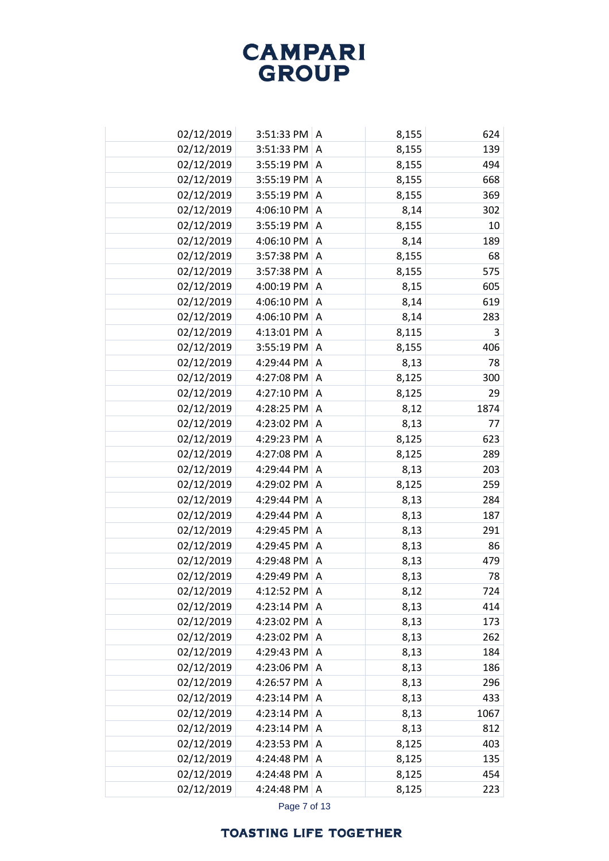| 02/12/2019 | 3:51:33 PM A           |                | 8,155 | 624  |
|------------|------------------------|----------------|-------|------|
| 02/12/2019 | 3:51:33 PM             | A              | 8,155 | 139  |
| 02/12/2019 | $3:55:19$ PM $\vert$ A |                | 8,155 | 494  |
| 02/12/2019 | $3:55:19$ PM $\vert$ A |                | 8,155 | 668  |
| 02/12/2019 | $3:55:19$ PM $\vert$ A |                | 8,155 | 369  |
| 02/12/2019 | 4:06:10 PM A           |                | 8,14  | 302  |
| 02/12/2019 | $3:55:19$ PM $\vert$ A |                | 8,155 | 10   |
| 02/12/2019 | 4:06:10 PM A           |                | 8,14  | 189  |
| 02/12/2019 | 3:57:38 PM A           |                | 8,155 | 68   |
| 02/12/2019 | 3:57:38 PM             | $\overline{A}$ | 8,155 | 575  |
| 02/12/2019 | 4:00:19 PM A           |                | 8,15  | 605  |
| 02/12/2019 | 4:06:10 PM             | $\overline{A}$ | 8,14  | 619  |
| 02/12/2019 | 4:06:10 PM A           |                | 8,14  | 283  |
| 02/12/2019 | 4:13:01 PM             | A              | 8,115 | 3    |
| 02/12/2019 | 3:55:19 PM             | $\overline{A}$ | 8,155 | 406  |
| 02/12/2019 | 4:29:44 PM             | A              | 8,13  | 78   |
| 02/12/2019 | 4:27:08 PM             | $\overline{A}$ | 8,125 | 300  |
| 02/12/2019 | 4:27:10 PM             | A              | 8,125 | 29   |
| 02/12/2019 | 4:28:25 PM             | $\overline{A}$ | 8,12  | 1874 |
| 02/12/2019 | 4:23:02 PM             | Α              | 8,13  | 77   |
| 02/12/2019 | 4:29:23 PM             | $\overline{A}$ | 8,125 | 623  |
| 02/12/2019 | 4:27:08 PM             | Α              | 8,125 | 289  |
| 02/12/2019 | 4:29:44 PM             | $\overline{A}$ | 8,13  | 203  |
| 02/12/2019 | 4:29:02 PM             | A              | 8,125 | 259  |
| 02/12/2019 | 4:29:44 PM             | A              | 8,13  | 284  |
| 02/12/2019 | 4:29:44 PM             | Α              | 8,13  | 187  |
| 02/12/2019 | 4:29:45 PM             | $\overline{A}$ | 8,13  | 291  |
| 02/12/2019 | 4:29:45 PM             | Α              | 8,13  | 86   |
| 02/12/2019 | 4:29:48 PM             | $\overline{A}$ | 8,13  | 479  |
| 02/12/2019 | 4:29:49 PM             | Α              | 8,13  | 78   |
| 02/12/2019 | 4:12:52 PM             | A              | 8,12  | 724  |
| 02/12/2019 | 4:23:14 PM             | A              | 8,13  | 414  |
| 02/12/2019 | 4:23:02 PM             | A              | 8,13  | 173  |
| 02/12/2019 | 4:23:02 PM             | A              | 8,13  | 262  |
| 02/12/2019 | 4:29:43 PM             | A              | 8,13  | 184  |
| 02/12/2019 | 4:23:06 PM             | A              | 8,13  | 186  |
| 02/12/2019 | 4:26:57 PM             | A              | 8,13  | 296  |
| 02/12/2019 | 4:23:14 PM             | A              | 8,13  | 433  |
| 02/12/2019 | 4:23:14 PM             | $\overline{A}$ | 8,13  | 1067 |
| 02/12/2019 | 4:23:14 PM             | A              | 8,13  | 812  |
| 02/12/2019 | 4:23:53 PM             | A              | 8,125 | 403  |
| 02/12/2019 | 4:24:48 PM             | A              | 8,125 | 135  |
| 02/12/2019 | 4:24:48 PM             | A              | 8,125 | 454  |
| 02/12/2019 | 4:24:48 PM             | A              | 8,125 | 223  |

Page 7 of 13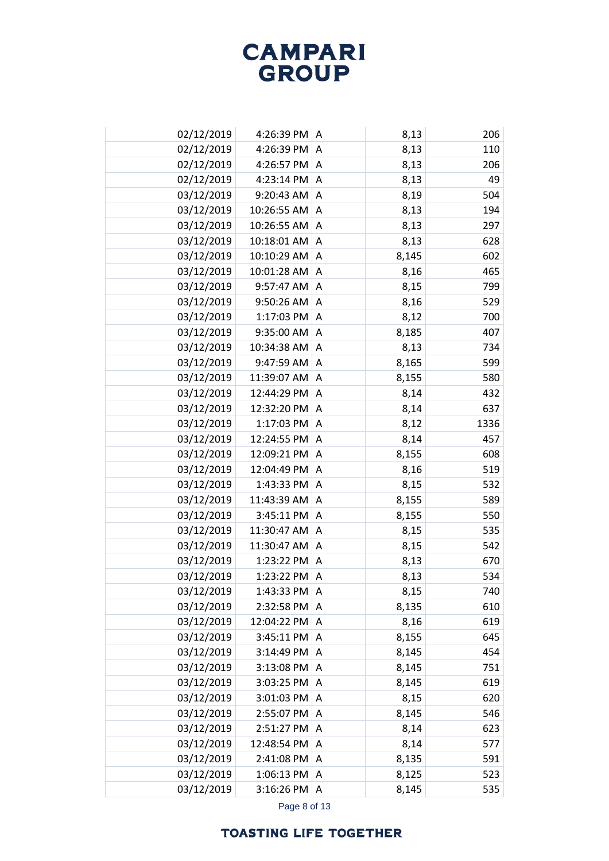| 02/12/2019 | 4:26:39 PM A   |                | 8,13  | 206  |
|------------|----------------|----------------|-------|------|
| 02/12/2019 | 4:26:39 PM     | A              | 8,13  | 110  |
| 02/12/2019 | 4:26:57 PM A   |                | 8,13  | 206  |
| 02/12/2019 | 4:23:14 PM A   |                | 8,13  | 49   |
| 03/12/2019 | 9:20:43 AM     | A              | 8,19  | 504  |
| 03/12/2019 | 10:26:55 AM    | A              | 8,13  | 194  |
| 03/12/2019 | 10:26:55 AM    | A              | 8,13  | 297  |
| 03/12/2019 | 10:18:01 AM A  |                | 8,13  | 628  |
| 03/12/2019 | 10:10:29 AM    | A              | 8,145 | 602  |
| 03/12/2019 | 10:01:28 AM    | Α              | 8,16  | 465  |
| 03/12/2019 | 9:57:47 AM     | Α              | 8,15  | 799  |
| 03/12/2019 | 9:50:26 AM     | Α              | 8,16  | 529  |
| 03/12/2019 | 1:17:03 PM     | A              | 8,12  | 700  |
| 03/12/2019 | 9:35:00 AM     | Α              | 8,185 | 407  |
| 03/12/2019 | 10:34:38 AM    | A              | 8,13  | 734  |
| 03/12/2019 | 9:47:59 AM     | Α              | 8,165 | 599  |
| 03/12/2019 | 11:39:07 AM    | Α              | 8,155 | 580  |
| 03/12/2019 | 12:44:29 PM    | Α              | 8,14  | 432  |
| 03/12/2019 | 12:32:20 PM    | $\overline{A}$ | 8,14  | 637  |
| 03/12/2019 | 1:17:03 PM     | Α              | 8,12  | 1336 |
| 03/12/2019 | 12:24:55 PM    | $\overline{A}$ | 8,14  | 457  |
| 03/12/2019 | 12:09:21 PM    | Α              | 8,155 | 608  |
| 03/12/2019 | 12:04:49 PM    | A              | 8,16  | 519  |
| 03/12/2019 | 1:43:33 PM     | Α              | 8,15  | 532  |
| 03/12/2019 | 11:43:39 AM    | $\overline{A}$ | 8,155 | 589  |
| 03/12/2019 | 3:45:11 PM     | A              | 8,155 | 550  |
| 03/12/2019 | 11:30:47 AM    | A              | 8,15  | 535  |
| 03/12/2019 | 11:30:47 AM    | Α              | 8,15  | 542  |
| 03/12/2019 | 1:23:22 PM     | A              | 8,13  | 670  |
| 03/12/2019 | 1:23:22 PM     | Α              | 8,13  | 534  |
| 03/12/2019 | 1:43:33 PM   A |                | 8,15  | 740  |
| 03/12/2019 | 2:32:58 PM     | Α              | 8,135 | 610  |
| 03/12/2019 | 12:04:22 PM    | A              | 8,16  | 619  |
| 03/12/2019 | 3:45:11 PM     | Α              | 8,155 | 645  |
| 03/12/2019 | 3:14:49 PM A   |                | 8,145 | 454  |
| 03/12/2019 | $3:13:08$ PM   | A              | 8,145 | 751  |
| 03/12/2019 | 3:03:25 PM     | A              | 8,145 | 619  |
| 03/12/2019 | 3:01:03 PM     | A              | 8,15  | 620  |
| 03/12/2019 | 2:55:07 PM     | $\overline{A}$ | 8,145 | 546  |
| 03/12/2019 | 2:51:27 PM     | A              | 8,14  | 623  |
| 03/12/2019 | 12:48:54 PM    | Α              | 8,14  | 577  |
| 03/12/2019 | 2:41:08 PM     | Α              | 8,135 | 591  |
| 03/12/2019 | 1:06:13 PM     | A              | 8,125 | 523  |
| 03/12/2019 | 3:16:26 PM     | Α              | 8,145 | 535  |

Page 8 of 13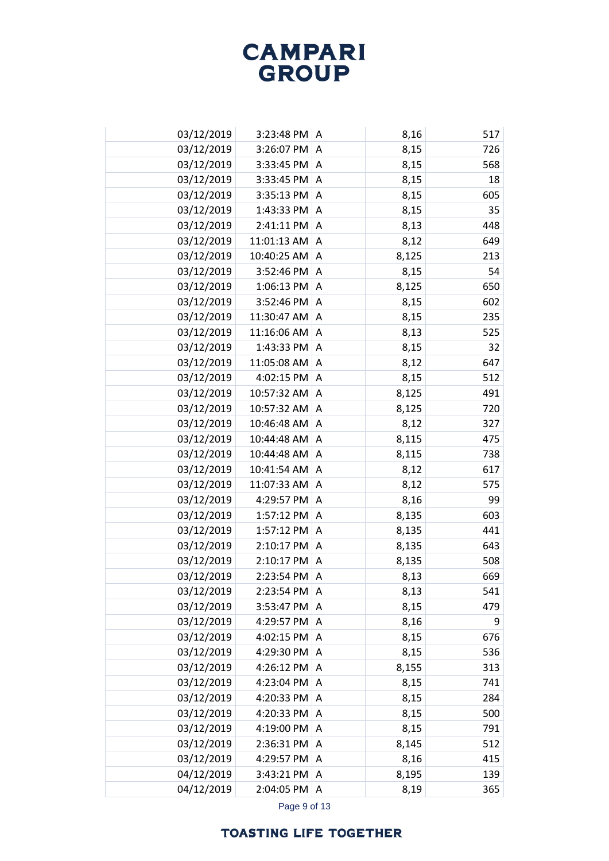| 03/12/2019 | $3:23:48$ PM $\mid$ A |                | 8,16  | 517 |
|------------|-----------------------|----------------|-------|-----|
| 03/12/2019 | 3:26:07 PM            | $\Lambda$      | 8,15  | 726 |
| 03/12/2019 | 3:33:45 PM $ A$       |                | 8,15  | 568 |
| 03/12/2019 | 3:33:45 PM A          |                | 8,15  | 18  |
| 03/12/2019 | $3:35:13$ PM $ A$     |                | 8,15  | 605 |
| 03/12/2019 | 1:43:33 PM A          |                | 8,15  | 35  |
| 03/12/2019 | 2:41:11 PM A          |                | 8,13  | 448 |
| 03/12/2019 | $11:01:13$ AM A       |                | 8,12  | 649 |
| 03/12/2019 | 10:40:25 AM A         |                | 8,125 | 213 |
| 03/12/2019 | 3:52:46 PM            | $\overline{A}$ | 8,15  | 54  |
| 03/12/2019 | 1:06:13 PM $ A$       |                | 8,125 | 650 |
| 03/12/2019 | 3:52:46 PM            | $\overline{A}$ | 8,15  | 602 |
| 03/12/2019 | 11:30:47 AM A         |                | 8,15  | 235 |
| 03/12/2019 | 11:16:06 AM           | A              | 8,13  | 525 |
| 03/12/2019 | 1:43:33 PM            | A              | 8,15  | 32  |
| 03/12/2019 | 11:05:08 AM           | A              | 8,12  | 647 |
| 03/12/2019 | 4:02:15 PM            | $\overline{A}$ | 8,15  | 512 |
| 03/12/2019 | 10:57:32 AM           | A              | 8,125 | 491 |
| 03/12/2019 | 10:57:32 AM           | A              | 8,125 | 720 |
| 03/12/2019 | 10:46:48 AM           | A              | 8,12  | 327 |
| 03/12/2019 | 10:44:48 AM           | $\overline{A}$ | 8,115 | 475 |
| 03/12/2019 | 10:44:48 AM           | Α              | 8,115 | 738 |
| 03/12/2019 | 10:41:54 AM           | $\overline{A}$ | 8,12  | 617 |
| 03/12/2019 | 11:07:33 AM           | Α              | 8,12  | 575 |
| 03/12/2019 | 4:29:57 PM            | A              | 8,16  | 99  |
| 03/12/2019 | 1:57:12 PM            | Α              | 8,135 | 603 |
| 03/12/2019 | 1:57:12 PM            | $\overline{A}$ | 8,135 | 441 |
| 03/12/2019 | 2:10:17 PM            | A              | 8,135 | 643 |
| 03/12/2019 | 2:10:17 PM            | $\overline{A}$ | 8,135 | 508 |
| 03/12/2019 | 2:23:54 PM            | Α              | 8,13  | 669 |
| 03/12/2019 | 2:23:54 PM            | ۱A             | 8,13  | 541 |
| 03/12/2019 | 3:53:47 PM            | Α              | 8,15  | 479 |
| 03/12/2019 | 4:29:57 PM            | A              | 8,16  | 9   |
| 03/12/2019 | 4:02:15 PM            | A              | 8,15  | 676 |
| 03/12/2019 | 4:29:30 PM A          |                | 8,15  | 536 |
| 03/12/2019 | 4:26:12 PM            | A              | 8,155 | 313 |
| 03/12/2019 | 4:23:04 PM            | A              | 8,15  | 741 |
| 03/12/2019 | 4:20:33 PM            | Α              | 8,15  | 284 |
| 03/12/2019 | 4:20:33 PM            | A              | 8,15  | 500 |
| 03/12/2019 | 4:19:00 PM A          |                | 8,15  | 791 |
| 03/12/2019 | 2:36:31 PM            | A              | 8,145 | 512 |
| 03/12/2019 | 4:29:57 PM            | A              | 8,16  | 415 |
| 04/12/2019 | 3:43:21 PM            | A              | 8,195 | 139 |
| 04/12/2019 | 2:04:05 PM            | $\overline{A}$ | 8,19  | 365 |

Page 9 of 13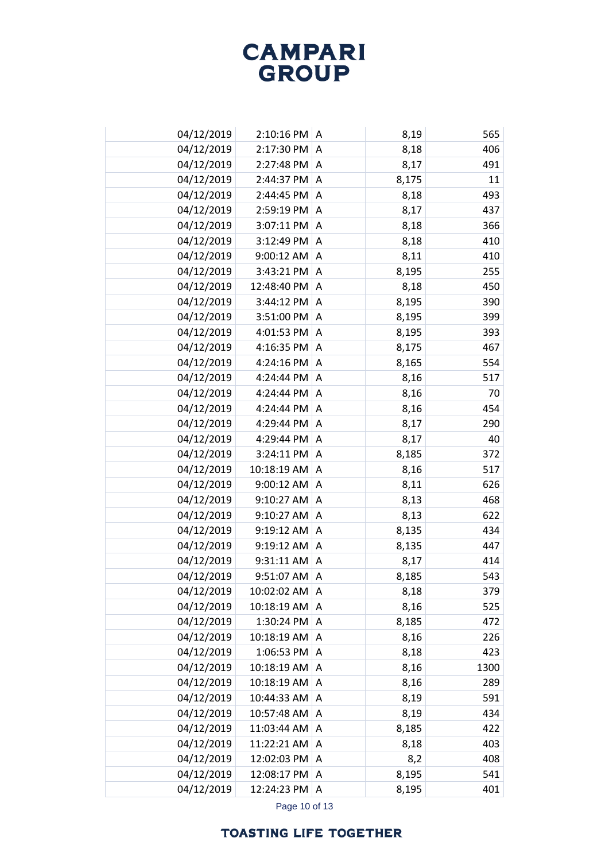| 04/12/2019 | 2:10:16 PM  | A | 8,19  | 565  |
|------------|-------------|---|-------|------|
| 04/12/2019 | 2:17:30 PM  | Α | 8,18  | 406  |
| 04/12/2019 | 2:27:48 PM  | A | 8,17  | 491  |
| 04/12/2019 | 2:44:37 PM  | A | 8,175 | 11   |
| 04/12/2019 | 2:44:45 PM  | A | 8,18  | 493  |
| 04/12/2019 | 2:59:19 PM  | Α | 8,17  | 437  |
| 04/12/2019 | 3:07:11 PM  | Α | 8,18  | 366  |
| 04/12/2019 | 3:12:49 PM  | A | 8,18  | 410  |
| 04/12/2019 | 9:00:12 AM  | Α | 8,11  | 410  |
| 04/12/2019 | 3:43:21 PM  | A | 8,195 | 255  |
| 04/12/2019 | 12:48:40 PM | Α | 8,18  | 450  |
| 04/12/2019 | 3:44:12 PM  | Α | 8,195 | 390  |
| 04/12/2019 | 3:51:00 PM  | Α | 8,195 | 399  |
| 04/12/2019 | 4:01:53 PM  | A | 8,195 | 393  |
| 04/12/2019 | 4:16:35 PM  | Α | 8,175 | 467  |
| 04/12/2019 | 4:24:16 PM  | Α | 8,165 | 554  |
| 04/12/2019 | 4:24:44 PM  | Α | 8,16  | 517  |
| 04/12/2019 | 4:24:44 PM  | Α | 8,16  | 70   |
| 04/12/2019 | 4:24:44 PM  | A | 8,16  | 454  |
| 04/12/2019 | 4:29:44 PM  | Α | 8,17  | 290  |
| 04/12/2019 | 4:29:44 PM  | A | 8,17  | 40   |
| 04/12/2019 | 3:24:11 PM  | Α | 8,185 | 372  |
| 04/12/2019 | 10:18:19 AM | Α | 8,16  | 517  |
| 04/12/2019 | 9:00:12 AM  | Α | 8,11  | 626  |
| 04/12/2019 | 9:10:27 AM  | Α | 8,13  | 468  |
| 04/12/2019 | 9:10:27 AM  | Α | 8,13  | 622  |
| 04/12/2019 | 9:19:12 AM  | A | 8,135 | 434  |
| 04/12/2019 | 9:19:12 AM  | Α | 8,135 | 447  |
| 04/12/2019 | 9:31:11 AM  | A | 8,17  | 414  |
| 04/12/2019 | 9:51:07 AM  | Α | 8,185 | 543  |
| 04/12/2019 | 10:02:02 AM | A | 8,18  | 379  |
| 04/12/2019 | 10:18:19 AM | Α | 8,16  | 525  |
| 04/12/2019 | 1:30:24 PM  | A | 8,185 | 472  |
| 04/12/2019 | 10:18:19 AM | Α | 8,16  | 226  |
| 04/12/2019 | 1:06:53 PM  | A | 8,18  | 423  |
| 04/12/2019 | 10:18:19 AM | A | 8,16  | 1300 |
| 04/12/2019 | 10:18:19 AM | Α | 8,16  | 289  |
| 04/12/2019 | 10:44:33 AM | A | 8,19  | 591  |
| 04/12/2019 | 10:57:48 AM | A | 8,19  | 434  |
| 04/12/2019 | 11:03:44 AM | Α | 8,185 | 422  |
| 04/12/2019 | 11:22:21 AM | Α | 8,18  | 403  |
| 04/12/2019 | 12:02:03 PM | Α | 8,2   | 408  |
| 04/12/2019 | 12:08:17 PM | A | 8,195 | 541  |
| 04/12/2019 | 12:24:23 PM | Α | 8,195 | 401  |

Page 10 of 13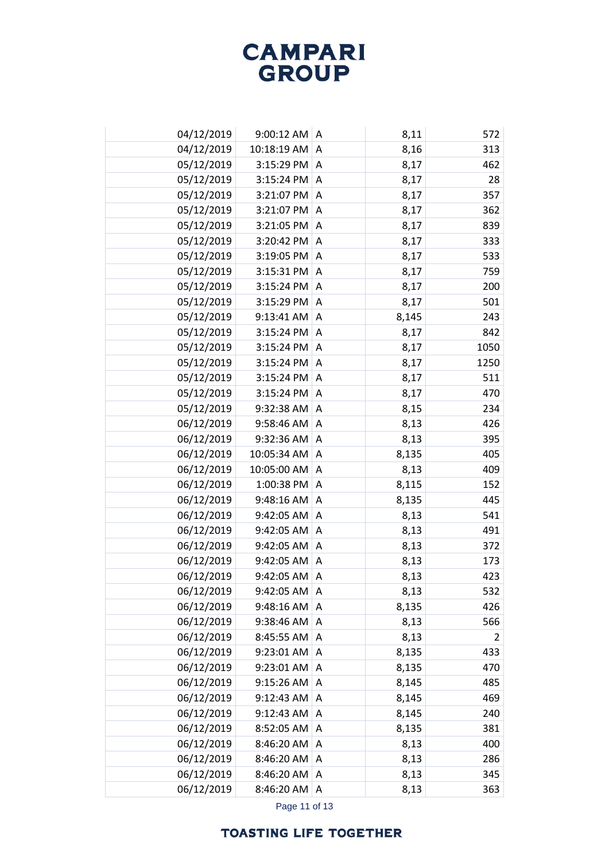| 04/12/2019 | $9:00:12$ AM A         |                | 8,11  | 572  |
|------------|------------------------|----------------|-------|------|
| 04/12/2019 | 10:18:19 AM            | A              | 8,16  | 313  |
| 05/12/2019 | $3:15:29$ PM $\vert$ A |                | 8,17  | 462  |
| 05/12/2019 | 3:15:24 PM             | A              | 8,17  | 28   |
| 05/12/2019 | 3:21:07 PM A           |                | 8,17  | 357  |
| 05/12/2019 | 3:21:07 PM             | A              | 8,17  | 362  |
| 05/12/2019 | 3:21:05 PM A           |                | 8,17  | 839  |
| 05/12/2019 | 3:20:42 PM A           |                | 8,17  | 333  |
| 05/12/2019 | 3:19:05 PM A           |                | 8,17  | 533  |
| 05/12/2019 | 3:15:31 PM             | A              | 8,17  | 759  |
| 05/12/2019 | $3:15:24$ PM $\vert$ A |                | 8,17  | 200  |
| 05/12/2019 | 3:15:29 PM             | A              | 8,17  | 501  |
| 05/12/2019 | $9:13:41$ AM           | A              | 8,145 | 243  |
| 05/12/2019 | 3:15:24 PM             | Α              | 8,17  | 842  |
| 05/12/2019 | 3:15:24 PM             | A              | 8,17  | 1050 |
| 05/12/2019 | 3:15:24 PM             | A              | 8,17  | 1250 |
| 05/12/2019 | 3:15:24 PM             | $\overline{A}$ | 8,17  | 511  |
| 05/12/2019 | 3:15:24 PM             | Α              | 8,17  | 470  |
| 05/12/2019 | 9:32:38 AM             | A              | 8,15  | 234  |
| 06/12/2019 | 9:58:46 AM             | Α              | 8,13  | 426  |
| 06/12/2019 | 9:32:36 AM             | A              | 8,13  | 395  |
| 06/12/2019 | 10:05:34 AM            | Α              | 8,135 | 405  |
| 06/12/2019 | 10:05:00 AM            | A              | 8,13  | 409  |
| 06/12/2019 | 1:00:38 PM             | Α              | 8,115 | 152  |
| 06/12/2019 | 9:48:16 AM             | $\overline{A}$ | 8,135 | 445  |
| 06/12/2019 | 9:42:05 AM             | Α              | 8,13  | 541  |
| 06/12/2019 | 9:42:05 AM             | A              | 8,13  | 491  |
| 06/12/2019 | 9:42:05 AM             | A              | 8,13  | 372  |
| 06/12/2019 | 9:42:05 AM             | A              | 8,13  | 173  |
| 06/12/2019 | 9:42:05 AM             | Α              | 8,13  | 423  |
| 06/12/2019 | 9:42:05 AM             | ۱A             | 8,13  | 532  |
| 06/12/2019 | 9:48:16 AM             | Α              | 8,135 | 426  |
| 06/12/2019 | 9:38:46 AM             | A              | 8,13  | 566  |
| 06/12/2019 | 8:45:55 AM             | A              | 8,13  | 2    |
| 06/12/2019 | 9:23:01 AM             | A              | 8,135 | 433  |
| 06/12/2019 | 9:23:01 AM             | A              | 8,135 | 470  |
| 06/12/2019 | 9:15:26 AM             | A              | 8,145 | 485  |
| 06/12/2019 | 9:12:43 AM             | A              | 8,145 | 469  |
| 06/12/2019 | 9:12:43 AM             | A              | 8,145 | 240  |
| 06/12/2019 | 8:52:05 AM             | A              | 8,135 | 381  |
| 06/12/2019 | 8:46:20 AM             | A              | 8,13  | 400  |
| 06/12/2019 | 8:46:20 AM             | Α              | 8,13  | 286  |
| 06/12/2019 | 8:46:20 AM             | A              | 8,13  | 345  |
| 06/12/2019 | 8:46:20 AM             | A              | 8,13  | 363  |

Page 11 of 13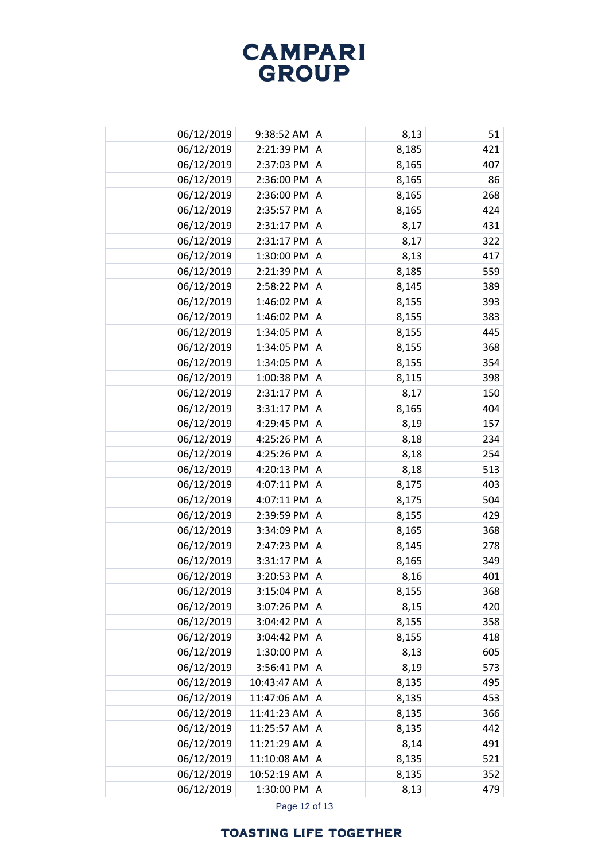| 06/12/2019 | 9:38:52 AM   A |   | 8,13  | 51  |
|------------|----------------|---|-------|-----|
| 06/12/2019 | 2:21:39 PM     | A | 8,185 | 421 |
| 06/12/2019 | 2:37:03 PM     | Α | 8,165 | 407 |
| 06/12/2019 | 2:36:00 PM     | A | 8,165 | 86  |
| 06/12/2019 | 2:36:00 PM     | Α | 8,165 | 268 |
| 06/12/2019 | 2:35:57 PM     | A | 8,165 | 424 |
| 06/12/2019 | 2:31:17 PM A   |   | 8,17  | 431 |
| 06/12/2019 | 2:31:17 PM     | A | 8,17  | 322 |
| 06/12/2019 | 1:30:00 PM     | A | 8,13  | 417 |
| 06/12/2019 | 2:21:39 PM     | Α | 8,185 | 559 |
| 06/12/2019 | 2:58:22 PM     | A | 8,145 | 389 |
| 06/12/2019 | 1:46:02 PM     | Α | 8,155 | 393 |
| 06/12/2019 | 1:46:02 PM     | A | 8,155 | 383 |
| 06/12/2019 | 1:34:05 PM     | Α | 8,155 | 445 |
| 06/12/2019 | 1:34:05 PM     | A | 8,155 | 368 |
| 06/12/2019 | 1:34:05 PM     | Α | 8,155 | 354 |
| 06/12/2019 | 1:00:38 PM     | Α | 8,115 | 398 |
| 06/12/2019 | 2:31:17 PM     | Α | 8,17  | 150 |
| 06/12/2019 | 3:31:17 PM     | Α | 8,165 | 404 |
| 06/12/2019 | 4:29:45 PM     | Α | 8,19  | 157 |
| 06/12/2019 | 4:25:26 PM     | A | 8,18  | 234 |
| 06/12/2019 | 4:25:26 PM     | Α | 8,18  | 254 |
| 06/12/2019 | 4:20:13 PM     | A | 8,18  | 513 |
| 06/12/2019 | 4:07:11 PM     | Α | 8,175 | 403 |
| 06/12/2019 | 4:07:11 PM     | A | 8,175 | 504 |
| 06/12/2019 | 2:39:59 PM     | Α | 8,155 | 429 |
| 06/12/2019 | 3:34:09 PM     | A | 8,165 | 368 |
| 06/12/2019 | 2:47:23 PM     | A | 8,145 | 278 |
| 06/12/2019 | 3:31:17 PM     | A | 8,165 | 349 |
| 06/12/2019 | 3:20:53 PM     | Α | 8,16  | 401 |
| 06/12/2019 | 3:15:04 PM     | A | 8,155 | 368 |
| 06/12/2019 | 3:07:26 PM     | Α | 8,15  | 420 |
| 06/12/2019 | 3:04:42 PM     | A | 8,155 | 358 |
| 06/12/2019 | 3:04:42 PM     | Α | 8,155 | 418 |
| 06/12/2019 | 1:30:00 PM     | A | 8,13  | 605 |
| 06/12/2019 | 3:56:41 PM     | Α | 8,19  | 573 |
| 06/12/2019 | 10:43:47 AM    | A | 8,135 | 495 |
| 06/12/2019 | 11:47:06 AM    | A | 8,135 | 453 |
| 06/12/2019 | 11:41:23 AM    | A | 8,135 | 366 |
| 06/12/2019 | 11:25:57 AM    | Α | 8,135 | 442 |
| 06/12/2019 | 11:21:29 AM    | Α | 8,14  | 491 |
| 06/12/2019 | 11:10:08 AM    | Α | 8,135 | 521 |
| 06/12/2019 | 10:52:19 AM    | A | 8,135 | 352 |
| 06/12/2019 | 1:30:00 PM A   |   | 8,13  | 479 |

Page 12 of 13